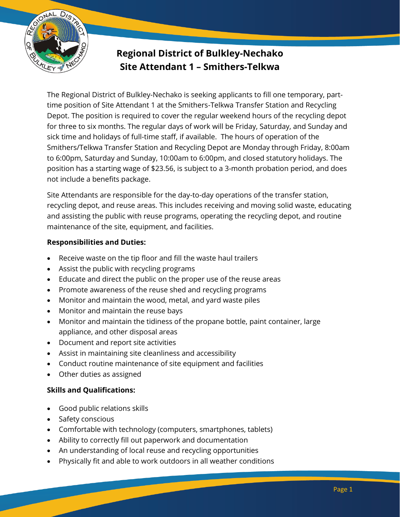

# **Regional District of Bulkley-Nechako Site Attendant 1 – Smithers-Telkwa**

The Regional District of Bulkley-Nechako is seeking applicants to fill one temporary, parttime position of Site Attendant 1 at the Smithers-Telkwa Transfer Station and Recycling Depot. The position is required to cover the regular weekend hours of the recycling depot for three to six months. The regular days of work will be Friday, Saturday, and Sunday and sick time and holidays of full-time staff, if available. The hours of operation of the Smithers/Telkwa Transfer Station and Recycling Depot are Monday through Friday, 8:00am to 6:00pm, Saturday and Sunday, 10:00am to 6:00pm, and closed statutory holidays. The position has a starting wage of \$23.56, is subject to a 3-month probation period, and does not include a benefits package.

Site Attendants are responsible for the day-to-day operations of the transfer station, recycling depot, and reuse areas. This includes receiving and moving solid waste, educating and assisting the public with reuse programs, operating the recycling depot, and routine maintenance of the site, equipment, and facilities.

### **Responsibilities and Duties:**

- Receive waste on the tip floor and fill the waste haul trailers
- Assist the public with recycling programs
- Educate and direct the public on the proper use of the reuse areas
- Promote awareness of the reuse shed and recycling programs
- Monitor and maintain the wood, metal, and yard waste piles
- Monitor and maintain the reuse bays
- Monitor and maintain the tidiness of the propane bottle, paint container, large appliance, and other disposal areas
- Document and report site activities
- Assist in maintaining site cleanliness and accessibility
- Conduct routine maintenance of site equipment and facilities
- Other duties as assigned

### **Skills and Qualifications:**

- Good public relations skills
- Safety conscious
- Comfortable with technology (computers, smartphones, tablets)
- Ability to correctly fill out paperwork and documentation
- An understanding of local reuse and recycling opportunities
- Physically fit and able to work outdoors in all weather conditions